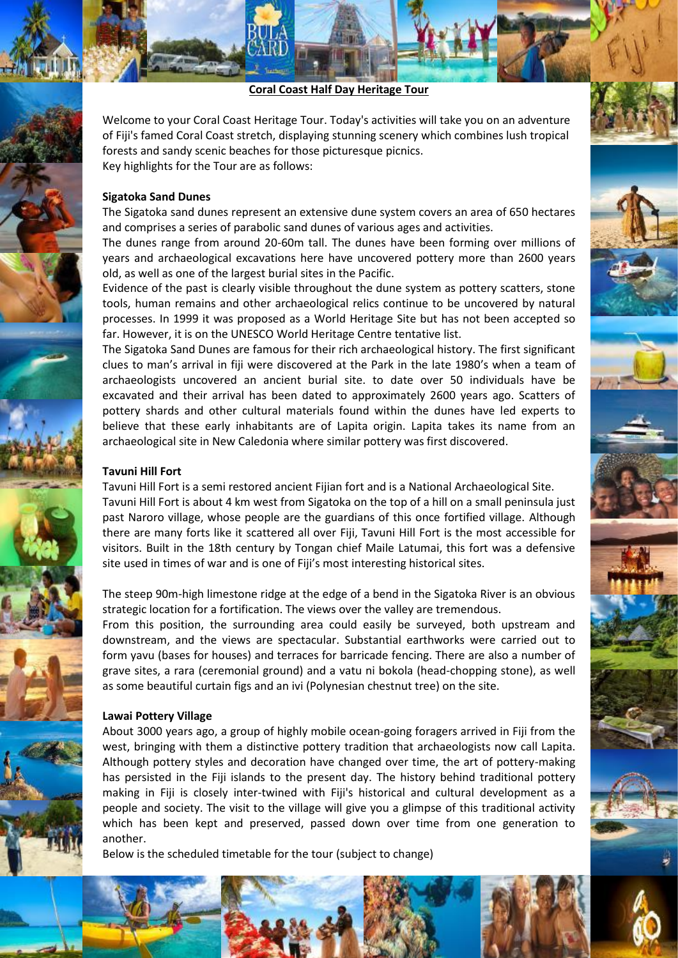**Coral Coast Half Day Heritage Tour**

Welcome to your Coral Coast Heritage Tour. Today's activities will take you on an adventure of Fiji's famed Coral Coast stretch, displaying stunning scenery which combines lush tropical forests and sandy scenic beaches for those picturesque picnics. Key highlights for the Tour are as follows:

### **Sigatoka Sand Dunes**

The Sigatoka sand dunes represent an extensive dune system covers an area of 650 hectares and comprises a series of parabolic sand dunes of various ages and activities.

The dunes range from around 20-60m tall. The dunes have been forming over millions of years and archaeological excavations here have uncovered pottery more than 2600 years old, as well as one of the largest burial sites in the Pacific.

Evidence of the past is clearly visible throughout the dune system as pottery scatters, stone tools, human remains and other archaeological relics continue to be uncovered by natural processes. In 1999 it was proposed as a World Heritage Site but has not been accepted so far. However, it is on the UNESCO World Heritage Centre tentative list.

The Sigatoka Sand Dunes are famous for their rich archaeological history. The first significant clues to man's arrival in fiji were discovered at the Park in the late 1980's when a team of archaeologists uncovered an ancient burial site. to date over 50 individuals have be excavated and their arrival has been dated to approximately 2600 years ago. Scatters of pottery shards and other cultural materials found within the dunes have led experts to believe that these early inhabitants are of Lapita origin. Lapita takes its name from an archaeological site in New Caledonia where similar pottery was first discovered.

#### **Tavuni Hill Fort**

Tavuni Hill Fort is a semi restored ancient Fijian fort and is a National Archaeological Site. Tavuni Hill Fort is about 4 km west from Sigatoka on the top of a hill on a small peninsula just past Naroro village, whose people are the guardians of this once fortified village. Although there are many forts like it scattered all over Fiji, Tavuni Hill Fort is the most accessible for visitors. Built in the 18th century by Tongan chief Maile Latumai, this fort was a defensive site used in times of war and is one of Fiji's most interesting historical sites.

The steep 90m-high limestone ridge at the edge of a bend in the Sigatoka River is an obvious strategic location for a fortification. The views over the valley are tremendous.

From this position, the surrounding area could easily be surveyed, both upstream and downstream, and the views are spectacular. Substantial earthworks were carried out to form yavu (bases for houses) and terraces for barricade fencing. There are also a number of grave sites, a rara (ceremonial ground) and a vatu ni bokola (head-chopping stone), as well as some beautiful curtain figs and an ivi (Polynesian chestnut tree) on the site.

#### **Lawai Pottery Village**

About 3000 years ago, a group of highly mobile ocean-going foragers arrived in Fiji from the west, bringing with them a distinctive pottery tradition that archaeologists now call Lapita. Although pottery styles and decoration have changed over time, the art of pottery-making has persisted in the Fiji islands to the present day. The history behind traditional pottery making in Fiji is closely inter-twined with Fiji's historical and cultural development as a people and society. The visit to the village will give you a glimpse of this traditional activity which has been kept and preserved, passed down over time from one generation to another.

Below is the scheduled timetable for the tour (subject to change)